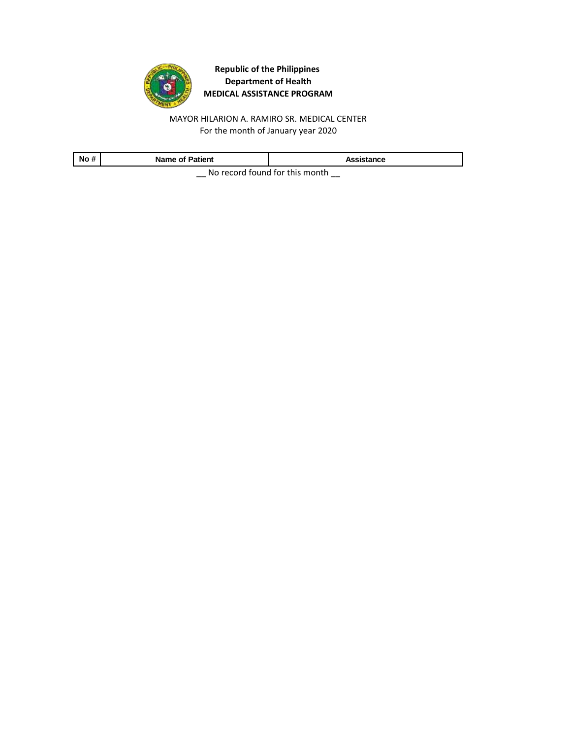

MAYOR HILARION A. RAMIRO SR. MEDICAL CENTER For the month of January year 2020

| No #                                | <b>Name of Patient</b> | Assistance |
|-------------------------------------|------------------------|------------|
| No received formed for this meanth. |                        |            |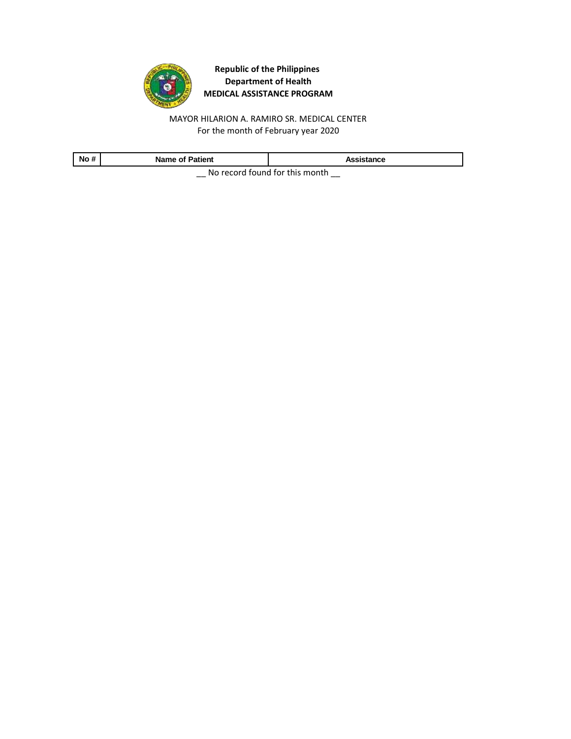

MAYOR HILARION A. RAMIRO SR. MEDICAL CENTER For the month of February year 2020

| No #                             | <b>Name of Patient</b> | Assistance |
|----------------------------------|------------------------|------------|
| No second formal festive seconds |                        |            |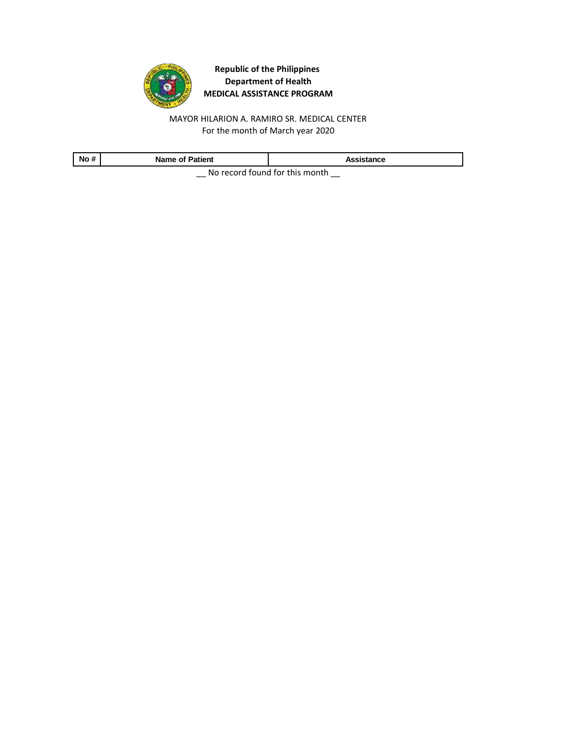

MAYOR HILARION A. RAMIRO SR. MEDICAL CENTER For the month of March year 2020

| No #                                | <b>Name of Patient</b> | Assistance |
|-------------------------------------|------------------------|------------|
| No received formed for this meanth. |                        |            |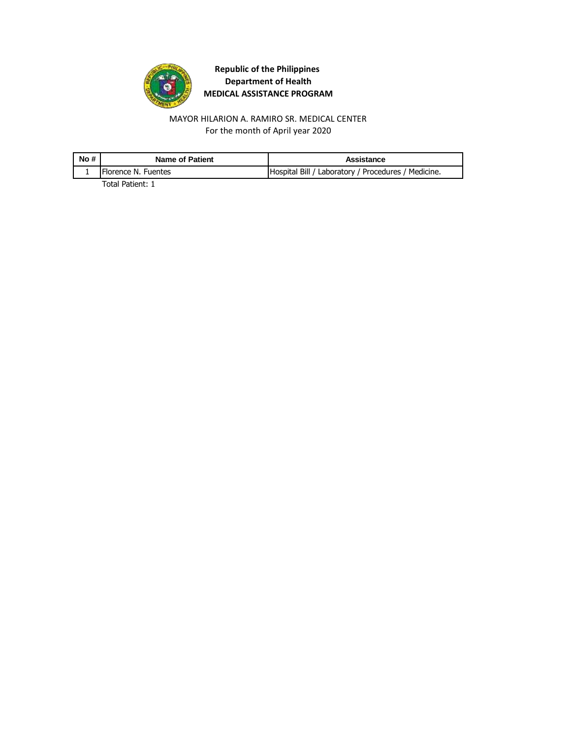

MAYOR HILARION A. RAMIRO SR. MEDICAL CENTER For the month of April year 2020

| No # | <b>Name of Patient</b> | Assistance                                          |
|------|------------------------|-----------------------------------------------------|
|      | Florence N. Fuentes    | Hospital Bill / Laboratory / Procedures / Medicine. |

Total Patient: 1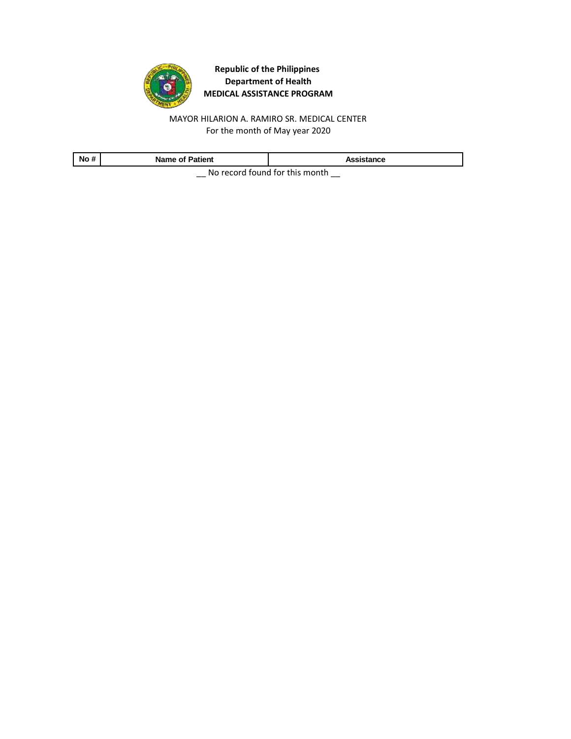

For the month of May year 2020 MAYOR HILARION A. RAMIRO SR. MEDICAL CENTER

| No #                           | <b>Name of Patient</b> | Assistance |
|--------------------------------|------------------------|------------|
| No record found for this month |                        |            |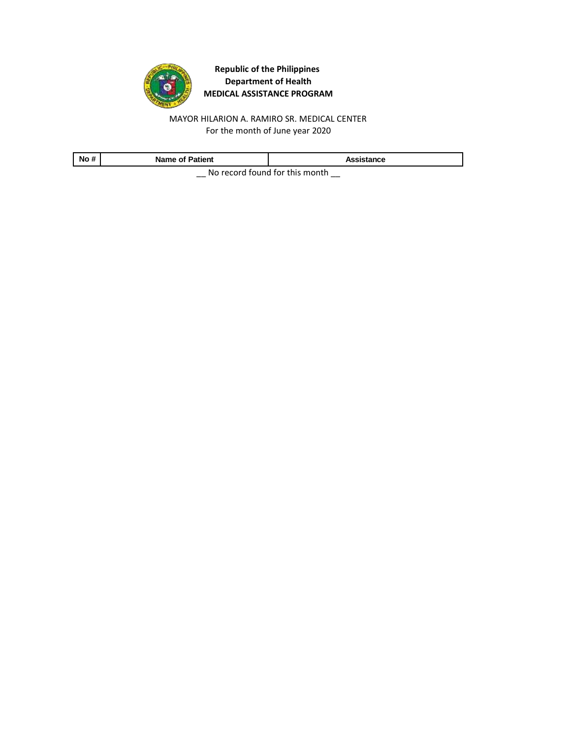

MAYOR HILARION A. RAMIRO SR. MEDICAL CENTER For the month of June year 2020

| No #                                | <b>Name of Patient</b> | Assistance |
|-------------------------------------|------------------------|------------|
| No received formed for this meanth. |                        |            |

 $\equiv$  No record found for this month  $\equiv$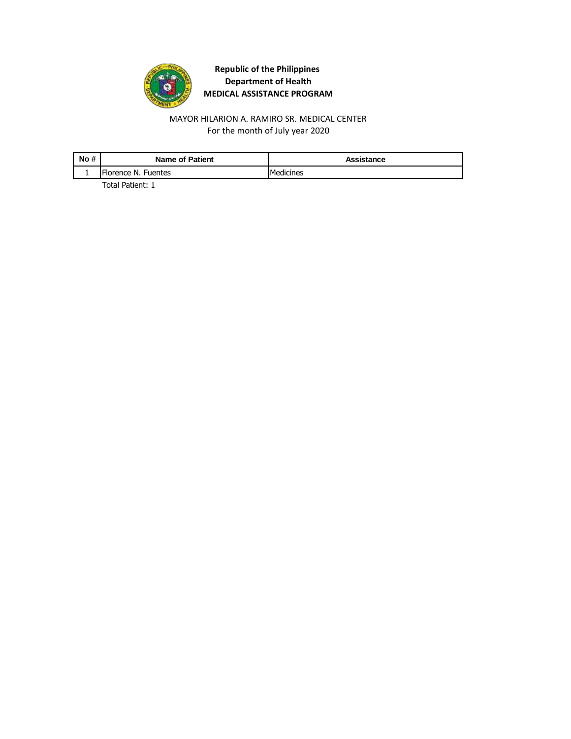

MAYOR HILARION A. RAMIRO SR. MEDICAL CENTER For the month of July year 2020

| No # | <b>Name of Patient</b> | Assistance |
|------|------------------------|------------|
|      | Florence N. Fuentes    | Medicines  |

Total Patient: 1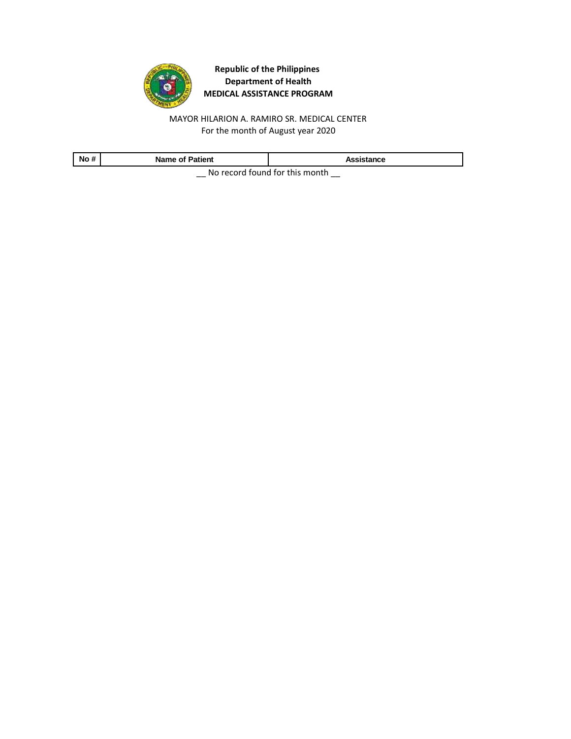

MAYOR HILARION A. RAMIRO SR. MEDICAL CENTER For the month of August year 2020

| No #                                | <b>Name of Patient</b> | Assistance |
|-------------------------------------|------------------------|------------|
| No received formed for this meanth. |                        |            |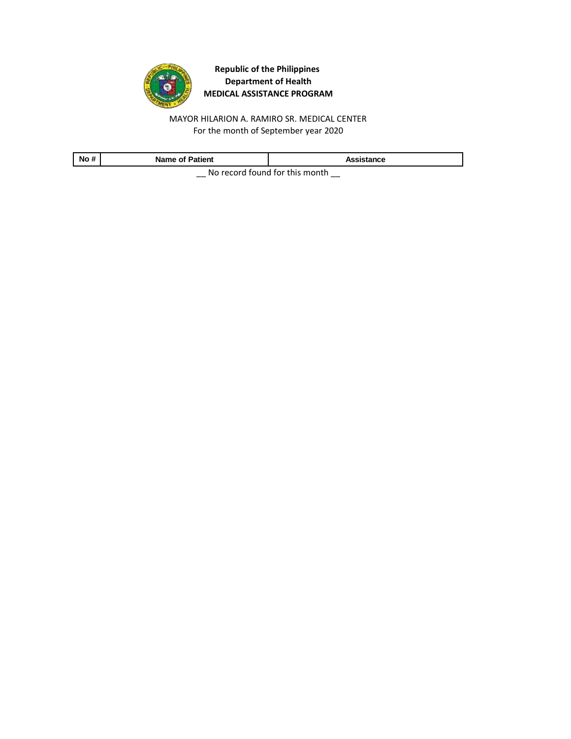

MAYOR HILARION A. RAMIRO SR. MEDICAL CENTER For the month of September year 2020

| No #                             | <b>Name of Patient</b> | Assistance |
|----------------------------------|------------------------|------------|
| No recept found for this meanth. |                        |            |